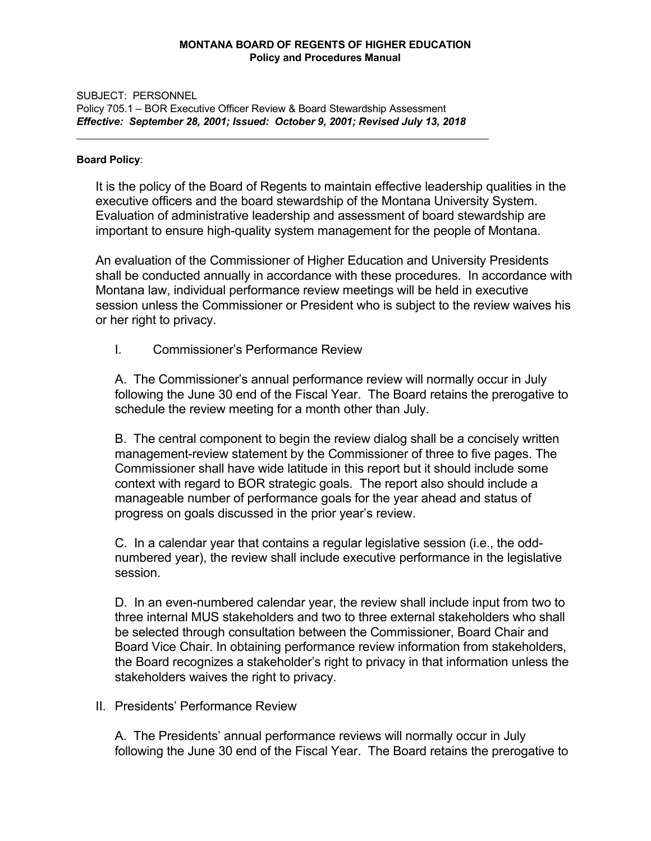## **MONTANA BOARD OF REGENTS OF HIGHER EDUCATION Policy and Procedures Manual**

## SUBJECT: PERSONNEL

Policy 705.1 – BOR Executive Officer Review & Board Stewardship Assessment *Effective: September 28, 2001; Issued: October 9, 2001; Revised July 13, 2018*

 $\_$  , and the set of the set of the set of the set of the set of the set of the set of the set of the set of the set of the set of the set of the set of the set of the set of the set of the set of the set of the set of th

## **Board Policy**:

It is the policy of the Board of Regents to maintain effective leadership qualities in the executive officers and the board stewardship of the Montana University System. Evaluation of administrative leadership and assessment of board stewardship are important to ensure high-quality system management for the people of Montana.

An evaluation of the Commissioner of Higher Education and University Presidents shall be conducted annually in accordance with these procedures. In accordance with Montana law, individual performance review meetings will be held in executive session unless the Commissioner or President who is subject to the review waives his or her right to privacy.

I. Commissioner's Performance Review

A. The Commissioner's annual performance review will normally occur in July following the June 30 end of the Fiscal Year. The Board retains the prerogative to schedule the review meeting for a month other than July.

B. The central component to begin the review dialog shall be a concisely written management-review statement by the Commissioner of three to five pages. The Commissioner shall have wide latitude in this report but it should include some context with regard to BOR strategic goals. The report also should include a manageable number of performance goals for the year ahead and status of progress on goals discussed in the prior year's review.

C. In a calendar year that contains a regular legislative session (i.e., the oddnumbered year), the review shall include executive performance in the legislative session.

D. In an even-numbered calendar year, the review shall include input from two to three internal MUS stakeholders and two to three external stakeholders who shall be selected through consultation between the Commissioner, Board Chair and Board Vice Chair. In obtaining performance review information from stakeholders, the Board recognizes a stakeholder's right to privacy in that information unless the stakeholders waives the right to privacy.

# II. Presidents' Performance Review

A. The Presidents' annual performance reviews will normally occur in July following the June 30 end of the Fiscal Year. The Board retains the prerogative to